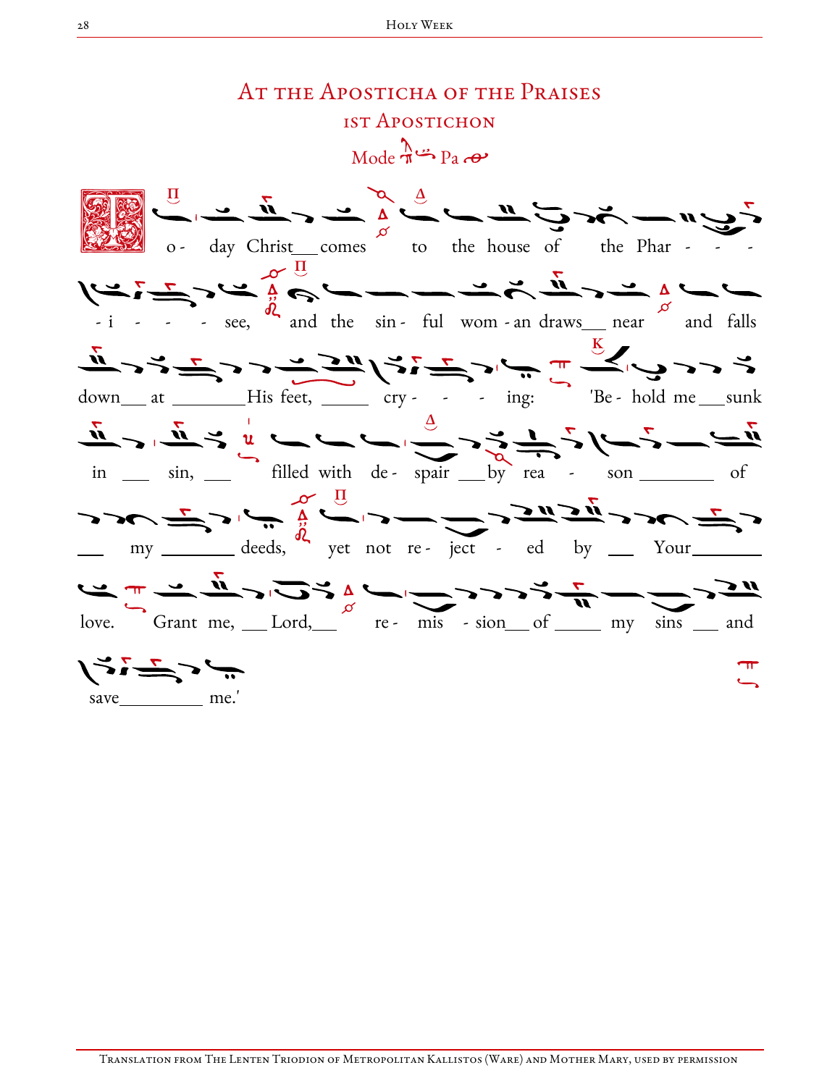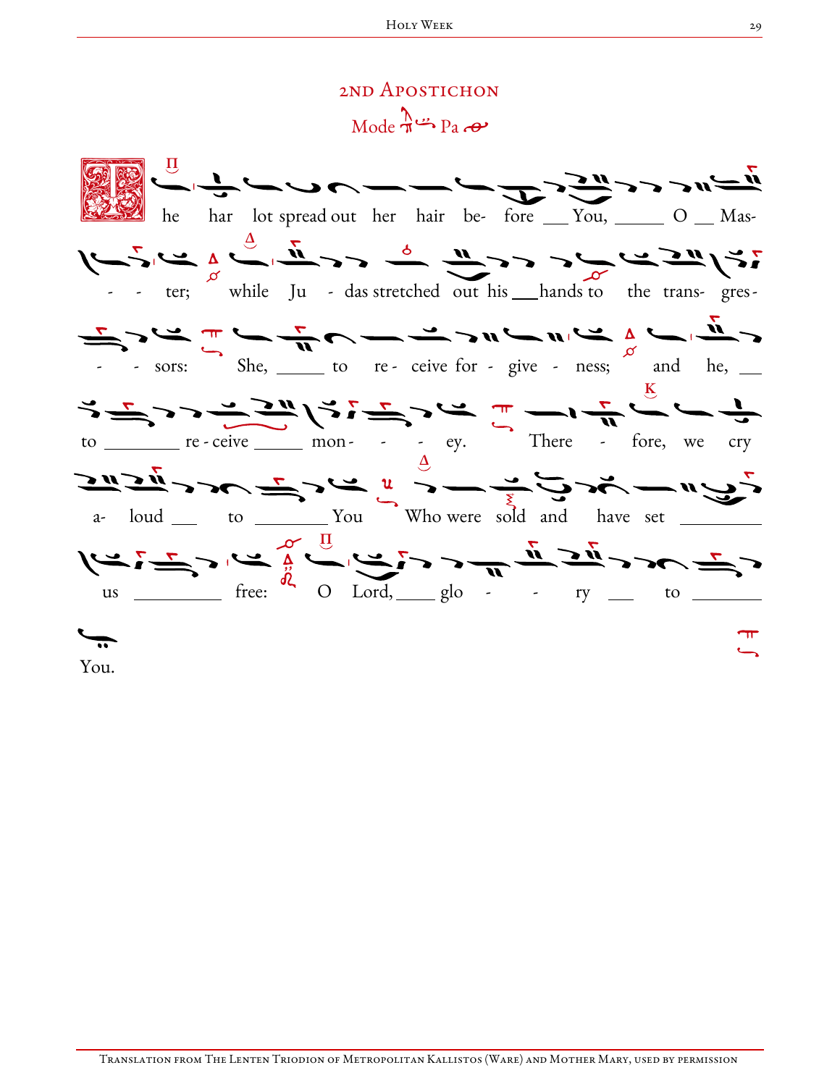## 2ND APOSTICHON  $Mode \rightarrow Pa$

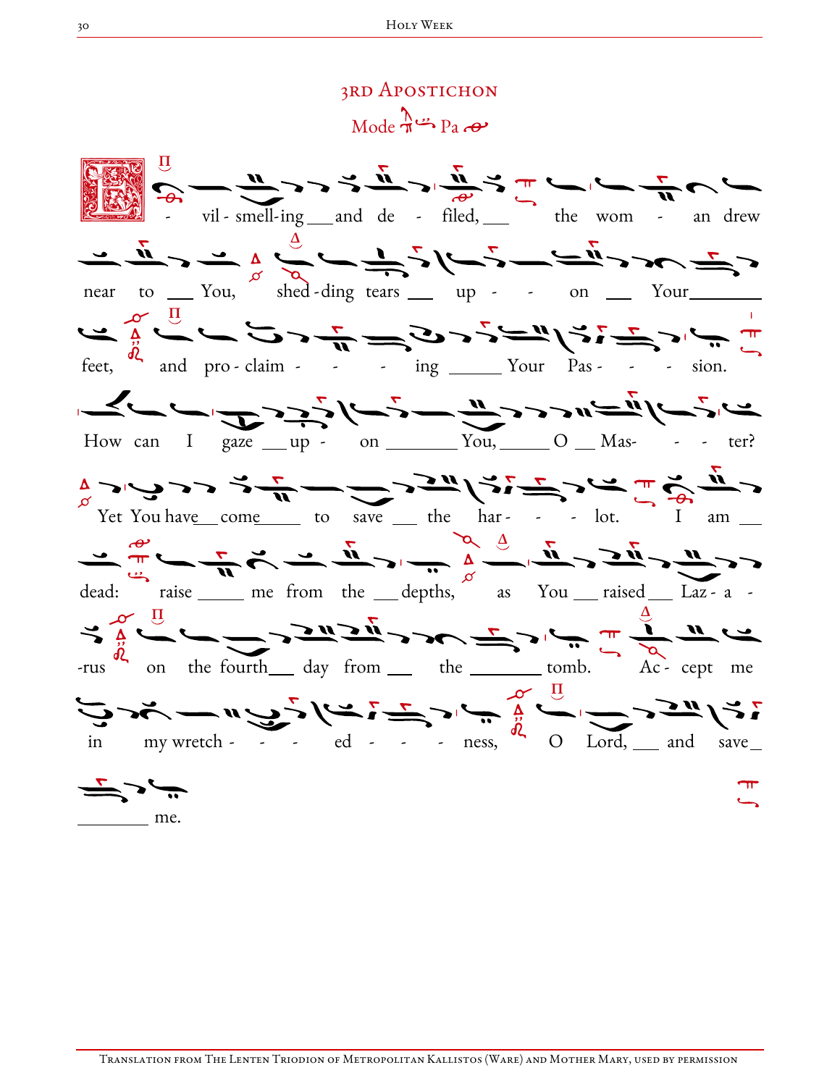